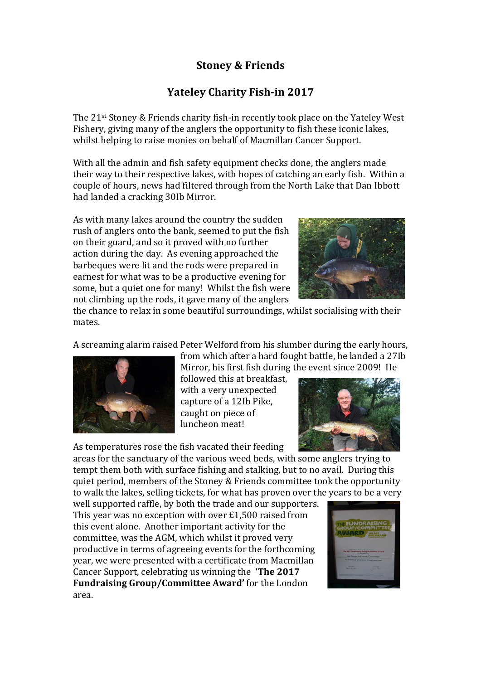## **Stoney & Friends**

## **Yateley Charity Fish-in 2017**

The 21<sup>st</sup> Stoney & Friends charity fish-in recently took place on the Yateley West Fishery, giving many of the anglers the opportunity to fish these iconic lakes, whilst helping to raise monies on behalf of Macmillan Cancer Support.

With all the admin and fish safety equipment checks done, the anglers made their way to their respective lakes, with hopes of catching an early fish. Within a couple of hours, news had filtered through from the North Lake that Dan Ibbott had landed a cracking 30Ib Mirror.

As with many lakes around the country the sudden rush of anglers onto the bank, seemed to put the fish on their guard, and so it proved with no further action during the day. As evening approached the barbeques were lit and the rods were prepared in earnest for what was to be a productive evening for some, but a quiet one for many! Whilst the fish were not climbing up the rods, it gave many of the anglers



the chance to relax in some beautiful surroundings, whilst socialising with their mates.

A screaming alarm raised Peter Welford from his slumber during the early hours,

from which after a hard fought battle, he landed a 27Ib



Mirror, his first fish during the event since 2009! He followed this at breakfast, with a very unexpected capture of a 12Ib Pike, caught on piece of luncheon meat! 

As temperatures rose the fish vacated their feeding



areas for the sanctuary of the various weed beds, with some anglers trying to tempt them both with surface fishing and stalking, but to no avail. During this quiet period, members of the Stoney & Friends committee took the opportunity to walk the lakes, selling tickets, for what has proven over the years to be a very

well supported raffle, by both the trade and our supporters. This year was no exception with over  $£1,500$  raised from this event alone. Another important activity for the committee, was the AGM, which whilst it proved very productive in terms of agreeing events for the forthcoming year, we were presented with a certificate from Macmillan Cancer Support, celebrating us winning the **The 2017 Fundraising Group/Committee Award'** for the London area.